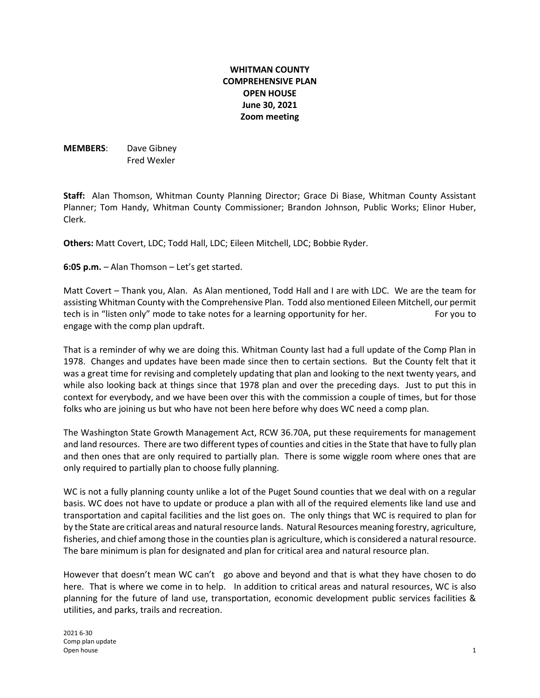# **WHITMAN COUNTY COMPREHENSIVE PLAN OPEN HOUSE June 30, 2021 Zoom meeting**

**MEMBERS**: Dave Gibney Fred Wexler

**Staff:** Alan Thomson, Whitman County Planning Director; Grace Di Biase, Whitman County Assistant Planner; Tom Handy, Whitman County Commissioner; Brandon Johnson, Public Works; Elinor Huber, Clerk.

**Others:** Matt Covert, LDC; Todd Hall, LDC; Eileen Mitchell, LDC; Bobbie Ryder.

**6:05 p.m.** – Alan Thomson – Let's get started.

Matt Covert – Thank you, Alan. As Alan mentioned, Todd Hall and I are with LDC. We are the team for assisting Whitman County with the Comprehensive Plan. Todd also mentioned Eileen Mitchell, our permit tech is in "listen only" mode to take notes for a learning opportunity for her. For you to engage with the comp plan updraft.

That is a reminder of why we are doing this. Whitman County last had a full update of the Comp Plan in 1978. Changes and updates have been made since then to certain sections. But the County felt that it was a great time for revising and completely updating that plan and looking to the next twenty years, and while also looking back at things since that 1978 plan and over the preceding days. Just to put this in context for everybody, and we have been over this with the commission a couple of times, but for those folks who are joining us but who have not been here before why does WC need a comp plan.

The Washington State Growth Management Act, RCW 36.70A, put these requirements for management and land resources. There are two different types of counties and cities in the State that have to fully plan and then ones that are only required to partially plan. There is some wiggle room where ones that are only required to partially plan to choose fully planning.

WC is not a fully planning county unlike a lot of the Puget Sound counties that we deal with on a regular basis. WC does not have to update or produce a plan with all of the required elements like land use and transportation and capital facilities and the list goes on. The only things that WC is required to plan for by the State are critical areas and natural resource lands. Natural Resources meaning forestry, agriculture, fisheries, and chief among those in the counties plan is agriculture, which is considered a natural resource. The bare minimum is plan for designated and plan for critical area and natural resource plan.

However that doesn't mean WC can't go above and beyond and that is what they have chosen to do here. That is where we come in to help. In addition to critical areas and natural resources, WC is also planning for the future of land use, transportation, economic development public services facilities & utilities, and parks, trails and recreation.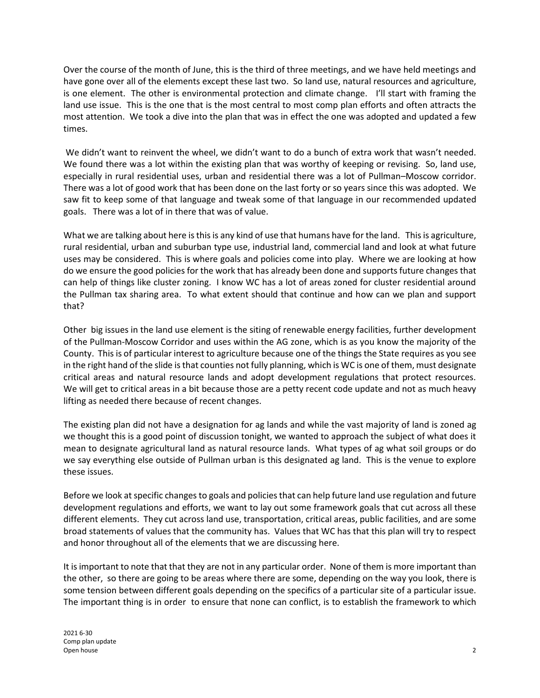Over the course of the month of June, this is the third of three meetings, and we have held meetings and have gone over all of the elements except these last two. So land use, natural resources and agriculture, is one element. The other is environmental protection and climate change. I'll start with framing the land use issue. This is the one that is the most central to most comp plan efforts and often attracts the most attention. We took a dive into the plan that was in effect the one was adopted and updated a few times.

We didn't want to reinvent the wheel, we didn't want to do a bunch of extra work that wasn't needed. We found there was a lot within the existing plan that was worthy of keeping or revising. So, land use, especially in rural residential uses, urban and residential there was a lot of Pullman–Moscow corridor. There was a lot of good work that has been done on the last forty or so years since this was adopted. We saw fit to keep some of that language and tweak some of that language in our recommended updated goals. There was a lot of in there that was of value.

What we are talking about here is this is any kind of use that humans have for the land. This is agriculture, rural residential, urban and suburban type use, industrial land, commercial land and look at what future uses may be considered. This is where goals and policies come into play. Where we are looking at how do we ensure the good policies for the work that has already been done and supports future changes that can help of things like cluster zoning. I know WC has a lot of areas zoned for cluster residential around the Pullman tax sharing area. To what extent should that continue and how can we plan and support that?

Other big issues in the land use element is the siting of renewable energy facilities, further development of the Pullman-Moscow Corridor and uses within the AG zone, which is as you know the majority of the County. This is of particular interest to agriculture because one of the things the State requires as you see in the right hand of the slide is that counties not fully planning, which is WC is one of them, must designate critical areas and natural resource lands and adopt development regulations that protect resources. We will get to critical areas in a bit because those are a petty recent code update and not as much heavy lifting as needed there because of recent changes.

The existing plan did not have a designation for ag lands and while the vast majority of land is zoned ag we thought this is a good point of discussion tonight, we wanted to approach the subject of what does it mean to designate agricultural land as natural resource lands. What types of ag what soil groups or do we say everything else outside of Pullman urban is this designated ag land. This is the venue to explore these issues.

Before we look at specific changes to goals and policies that can help future land use regulation and future development regulations and efforts, we want to lay out some framework goals that cut across all these different elements. They cut across land use, transportation, critical areas, public facilities, and are some broad statements of values that the community has. Values that WC has that this plan will try to respect and honor throughout all of the elements that we are discussing here.

It is important to note that that they are not in any particular order. None of them is more important than the other, so there are going to be areas where there are some, depending on the way you look, there is some tension between different goals depending on the specifics of a particular site of a particular issue. The important thing is in order to ensure that none can conflict, is to establish the framework to which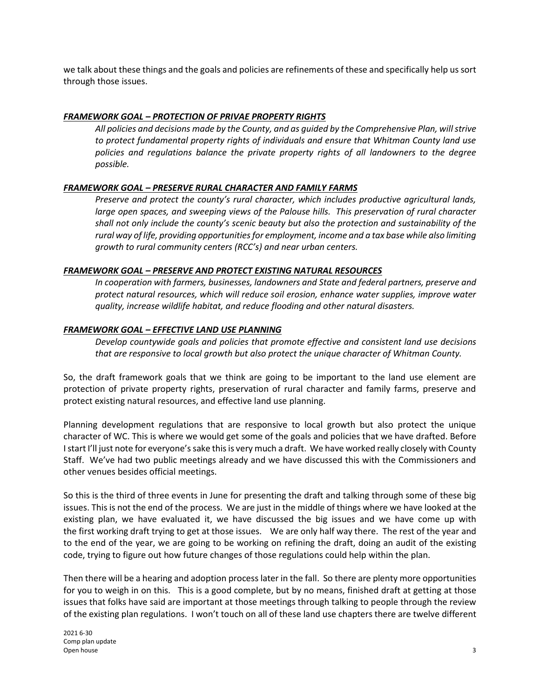we talk about these things and the goals and policies are refinements of these and specifically help us sort through those issues.

### *FRAMEWORK GOAL – PROTECTION OF PRIVAE PROPERTY RIGHTS*

*All policies and decisions made by the County, and as guided by the Comprehensive Plan, will strive to protect fundamental property rights of individuals and ensure that Whitman County land use policies and regulations balance the private property rights of all landowners to the degree possible.*

#### *FRAMEWORK GOAL – PRESERVE RURAL CHARACTER AND FAMILY FARMS*

*Preserve and protect the county's rural character, which includes productive agricultural lands,*  large open spaces, and sweeping views of the Palouse hills. This preservation of rural character *shall not only include the county's scenic beauty but also the protection and sustainability of the rural way of life, providing opportunities for employment, income and a tax base while also limiting growth to rural community centers (RCC's) and near urban centers.*

### *FRAMEWORK GOAL – PRESERVE AND PROTECT EXISTING NATURAL RESOURCES*

*In cooperation with farmers, businesses, landowners and State and federal partners, preserve and protect natural resources, which will reduce soil erosion, enhance water supplies, improve water quality, increase wildlife habitat, and reduce flooding and other natural disasters.* 

### *FRAMEWORK GOAL – EFFECTIVE LAND USE PLANNING*

*Develop countywide goals and policies that promote effective and consistent land use decisions that are responsive to local growth but also protect the unique character of Whitman County.*

So, the draft framework goals that we think are going to be important to the land use element are protection of private property rights, preservation of rural character and family farms, preserve and protect existing natural resources, and effective land use planning.

Planning development regulations that are responsive to local growth but also protect the unique character of WC. This is where we would get some of the goals and policies that we have drafted. Before I start I'll just note for everyone's sake this is very much a draft. We have worked really closely with County Staff. We've had two public meetings already and we have discussed this with the Commissioners and other venues besides official meetings.

So this is the third of three events in June for presenting the draft and talking through some of these big issues. This is not the end of the process. We are just in the middle of things where we have looked at the existing plan, we have evaluated it, we have discussed the big issues and we have come up with the first working draft trying to get at those issues. We are only half way there. The rest of the year and to the end of the year, we are going to be working on refining the draft, doing an audit of the existing code, trying to figure out how future changes of those regulations could help within the plan.

Then there will be a hearing and adoption process later in the fall. So there are plenty more opportunities for you to weigh in on this. This is a good complete, but by no means, finished draft at getting at those issues that folks have said are important at those meetings through talking to people through the review of the existing plan regulations. I won't touch on all of these land use chapters there are twelve different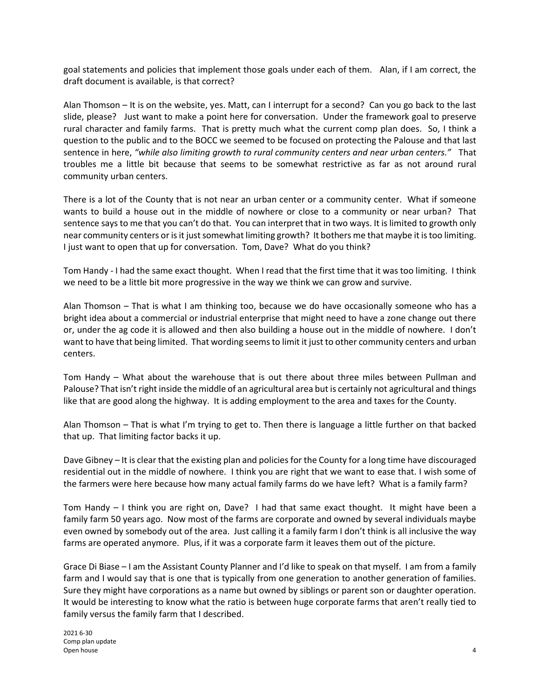goal statements and policies that implement those goals under each of them. Alan, if I am correct, the draft document is available, is that correct?

Alan Thomson – It is on the website, yes. Matt, can I interrupt for a second? Can you go back to the last slide, please? Just want to make a point here for conversation. Under the framework goal to preserve rural character and family farms. That is pretty much what the current comp plan does. So, I think a question to the public and to the BOCC we seemed to be focused on protecting the Palouse and that last sentence in here, *"while also limiting growth to rural community centers and near urban centers."* That troubles me a little bit because that seems to be somewhat restrictive as far as not around rural community urban centers.

There is a lot of the County that is not near an urban center or a community center. What if someone wants to build a house out in the middle of nowhere or close to a community or near urban? That sentence says to me that you can't do that. You can interpret that in two ways. It is limited to growth only near community centers or is it just somewhat limiting growth? It bothers me that maybe it is too limiting. I just want to open that up for conversation. Tom, Dave? What do you think?

Tom Handy - I had the same exact thought. When I read that the first time that it was too limiting. I think we need to be a little bit more progressive in the way we think we can grow and survive.

Alan Thomson – That is what I am thinking too, because we do have occasionally someone who has a bright idea about a commercial or industrial enterprise that might need to have a zone change out there or, under the ag code it is allowed and then also building a house out in the middle of nowhere. I don't want to have that being limited. That wording seems to limit it just to other community centers and urban centers.

Tom Handy – What about the warehouse that is out there about three miles between Pullman and Palouse? That isn't right inside the middle of an agricultural area but is certainly not agricultural and things like that are good along the highway. It is adding employment to the area and taxes for the County.

Alan Thomson – That is what I'm trying to get to. Then there is language a little further on that backed that up. That limiting factor backs it up.

Dave Gibney – It is clear that the existing plan and policies for the County for a long time have discouraged residential out in the middle of nowhere. I think you are right that we want to ease that. I wish some of the farmers were here because how many actual family farms do we have left? What is a family farm?

Tom Handy – I think you are right on, Dave? I had that same exact thought. It might have been a family farm 50 years ago. Now most of the farms are corporate and owned by several individuals maybe even owned by somebody out of the area. Just calling it a family farm I don't think is all inclusive the way farms are operated anymore. Plus, if it was a corporate farm it leaves them out of the picture.

Grace Di Biase – I am the Assistant County Planner and I'd like to speak on that myself. I am from a family farm and I would say that is one that is typically from one generation to another generation of families. Sure they might have corporations as a name but owned by siblings or parent son or daughter operation. It would be interesting to know what the ratio is between huge corporate farms that aren't really tied to family versus the family farm that I described.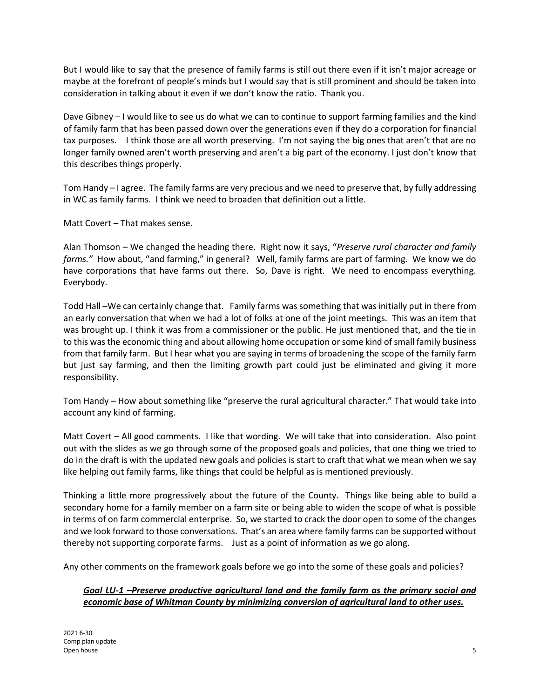But I would like to say that the presence of family farms is still out there even if it isn't major acreage or maybe at the forefront of people's minds but I would say that is still prominent and should be taken into consideration in talking about it even if we don't know the ratio. Thank you.

Dave Gibney – I would like to see us do what we can to continue to support farming families and the kind of family farm that has been passed down over the generations even if they do a corporation for financial tax purposes. I think those are all worth preserving. I'm not saying the big ones that aren't that are no longer family owned aren't worth preserving and aren't a big part of the economy. I just don't know that this describes things properly.

Tom Handy – I agree. The family farms are very precious and we need to preserve that, by fully addressing in WC as family farms. I think we need to broaden that definition out a little.

Matt Covert – That makes sense.

Alan Thomson – We changed the heading there. Right now it says, "*Preserve rural character and family farms."* How about, "and farming," in general? Well, family farms are part of farming. We know we do have corporations that have farms out there. So, Dave is right. We need to encompass everything. Everybody.

Todd Hall –We can certainly change that. Family farms was something that was initially put in there from an early conversation that when we had a lot of folks at one of the joint meetings. This was an item that was brought up. I think it was from a commissioner or the public. He just mentioned that, and the tie in to this was the economic thing and about allowing home occupation or some kind of small family business from that family farm. But I hear what you are saying in terms of broadening the scope of the family farm but just say farming, and then the limiting growth part could just be eliminated and giving it more responsibility.

Tom Handy – How about something like "preserve the rural agricultural character." That would take into account any kind of farming.

Matt Covert – All good comments. I like that wording. We will take that into consideration. Also point out with the slides as we go through some of the proposed goals and policies, that one thing we tried to do in the draft is with the updated new goals and policies is start to craft that what we mean when we say like helping out family farms, like things that could be helpful as is mentioned previously.

Thinking a little more progressively about the future of the County. Things like being able to build a secondary home for a family member on a farm site or being able to widen the scope of what is possible in terms of on farm commercial enterprise. So, we started to crack the door open to some of the changes and we look forward to those conversations. That's an area where family farms can be supported without thereby not supporting corporate farms. Just as a point of information as we go along.

Any other comments on the framework goals before we go into the some of these goals and policies?

## *Goal LU-1 –Preserve productive agricultural land and the family farm as the primary social and economic base of Whitman County by minimizing conversion of agricultural land to other uses.*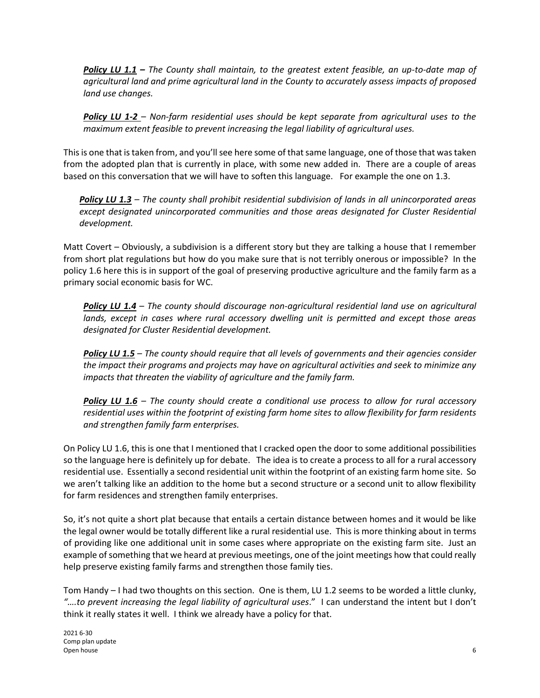*Policy LU 1.1 – The County shall maintain, to the greatest extent feasible, an up-to-date map of agricultural land and prime agricultural land in the County to accurately assess impacts of proposed land use changes.*

*Policy LU 1-2 – Non-farm residential uses should be kept separate from agricultural uses to the maximum extent feasible to prevent increasing the legal liability of agricultural uses.*

This is one that is taken from, and you'll see here some of that same language, one of those that was taken from the adopted plan that is currently in place, with some new added in. There are a couple of areas based on this conversation that we will have to soften this language. For example the one on 1.3.

*Policy LU 1.3 – The county shall prohibit residential subdivision of lands in all unincorporated areas except designated unincorporated communities and those areas designated for Cluster Residential development.*

Matt Covert – Obviously, a subdivision is a different story but they are talking a house that I remember from short plat regulations but how do you make sure that is not terribly onerous or impossible? In the policy 1.6 here this is in support of the goal of preserving productive agriculture and the family farm as a primary social economic basis for WC.

*Policy LU 1.4* – *The county should discourage non-agricultural residential land use on agricultural lands, except in cases where rural accessory dwelling unit is permitted and except those areas designated for Cluster Residential development.*

*Policy LU 1.5 – The county should require that all levels of governments and their agencies consider the impact their programs and projects may have on agricultural activities and seek to minimize any impacts that threaten the viability of agriculture and the family farm.*

*Policy LU 1.6 – The county should create a conditional use process to allow for rural accessory residential uses within the footprint of existing farm home sites to allow flexibility for farm residents and strengthen family farm enterprises.*

On Policy LU 1.6, this is one that I mentioned that I cracked open the door to some additional possibilities so the language here is definitely up for debate. The idea is to create a process to all for a rural accessory residential use. Essentially a second residential unit within the footprint of an existing farm home site. So we aren't talking like an addition to the home but a second structure or a second unit to allow flexibility for farm residences and strengthen family enterprises.

So, it's not quite a short plat because that entails a certain distance between homes and it would be like the legal owner would be totally different like a rural residential use. This is more thinking about in terms of providing like one additional unit in some cases where appropriate on the existing farm site. Just an example of something that we heard at previous meetings, one of the joint meetings how that could really help preserve existing family farms and strengthen those family ties.

Tom Handy – I had two thoughts on this section. One is them, LU 1.2 seems to be worded a little clunky, *"….to prevent increasing the legal liability of agricultural uses*." I can understand the intent but I don't think it really states it well. I think we already have a policy for that.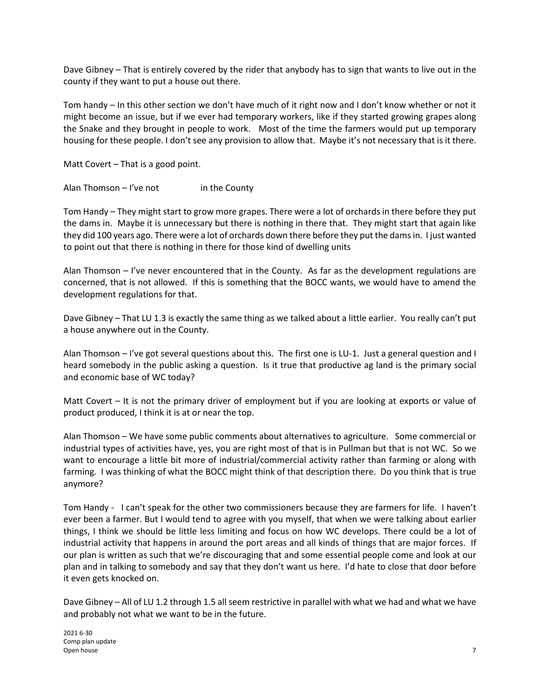Dave Gibney – That is entirely covered by the rider that anybody has to sign that wants to live out in the county if they want to put a house out there.

Tom handy – In this other section we don't have much of it right now and I don't know whether or not it might become an issue, but if we ever had temporary workers, like if they started growing grapes along the Snake and they brought in people to work. Most of the time the farmers would put up temporary housing for these people. I don't see any provision to allow that. Maybe it's not necessary that is it there.

Matt Covert – That is a good point.

Alan Thomson  $-$  I've not in the County

Tom Handy – They might start to grow more grapes. There were a lot of orchards in there before they put the dams in. Maybe it is unnecessary but there is nothing in there that. They might start that again like they did 100 years ago. There were a lot of orchards down there before they put the dams in. I just wanted to point out that there is nothing in there for those kind of dwelling units

Alan Thomson – I've never encountered that in the County. As far as the development regulations are concerned, that is not allowed. If this is something that the BOCC wants, we would have to amend the development regulations for that.

Dave Gibney – That LU 1.3 is exactly the same thing as we talked about a little earlier. You really can't put a house anywhere out in the County.

Alan Thomson – I've got several questions about this. The first one is LU-1. Just a general question and I heard somebody in the public asking a question. Is it true that productive ag land is the primary social and economic base of WC today?

Matt Covert – It is not the primary driver of employment but if you are looking at exports or value of product produced, I think it is at or near the top.

Alan Thomson – We have some public comments about alternatives to agriculture. Some commercial or industrial types of activities have, yes, you are right most of that is in Pullman but that is not WC. So we want to encourage a little bit more of industrial/commercial activity rather than farming or along with farming. I was thinking of what the BOCC might think of that description there. Do you think that is true anymore?

Tom Handy - I can't speak for the other two commissioners because they are farmers for life. I haven't ever been a farmer. But I would tend to agree with you myself, that when we were talking about earlier things, I think we should be little less limiting and focus on how WC develops. There could be a lot of industrial activity that happens in around the port areas and all kinds of things that are major forces. If our plan is written as such that we're discouraging that and some essential people come and look at our plan and in talking to somebody and say that they don't want us here. I'd hate to close that door before it even gets knocked on.

Dave Gibney – All of LU 1.2 through 1.5 all seem restrictive in parallel with what we had and what we have and probably not what we want to be in the future.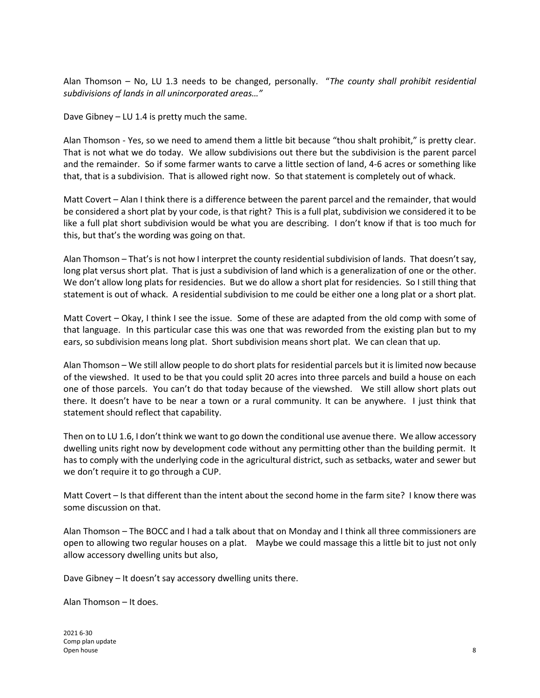Alan Thomson – No, LU 1.3 needs to be changed, personally. "*The county shall prohibit residential subdivisions of lands in all unincorporated areas…"*

Dave Gibney – LU 1.4 is pretty much the same.

Alan Thomson - Yes, so we need to amend them a little bit because "thou shalt prohibit," is pretty clear. That is not what we do today. We allow subdivisions out there but the subdivision is the parent parcel and the remainder. So if some farmer wants to carve a little section of land, 4-6 acres or something like that, that is a subdivision. That is allowed right now. So that statement is completely out of whack.

Matt Covert – Alan I think there is a difference between the parent parcel and the remainder, that would be considered a short plat by your code, is that right? This is a full plat, subdivision we considered it to be like a full plat short subdivision would be what you are describing. I don't know if that is too much for this, but that's the wording was going on that.

Alan Thomson – That's is not how I interpret the county residential subdivision of lands. That doesn't say, long plat versus short plat. That is just a subdivision of land which is a generalization of one or the other. We don't allow long plats for residencies. But we do allow a short plat for residencies. So I still thing that statement is out of whack. A residential subdivision to me could be either one a long plat or a short plat.

Matt Covert – Okay, I think I see the issue. Some of these are adapted from the old comp with some of that language. In this particular case this was one that was reworded from the existing plan but to my ears, so subdivision means long plat. Short subdivision means short plat. We can clean that up.

Alan Thomson – We still allow people to do short plats for residential parcels but it is limited now because of the viewshed. It used to be that you could split 20 acres into three parcels and build a house on each one of those parcels. You can't do that today because of the viewshed. We still allow short plats out there. It doesn't have to be near a town or a rural community. It can be anywhere. I just think that statement should reflect that capability.

Then on to LU 1.6, I don't think we want to go down the conditional use avenue there. We allow accessory dwelling units right now by development code without any permitting other than the building permit. It has to comply with the underlying code in the agricultural district, such as setbacks, water and sewer but we don't require it to go through a CUP.

Matt Covert – Is that different than the intent about the second home in the farm site? I know there was some discussion on that.

Alan Thomson – The BOCC and I had a talk about that on Monday and I think all three commissioners are open to allowing two regular houses on a plat. Maybe we could massage this a little bit to just not only allow accessory dwelling units but also,

Dave Gibney – It doesn't say accessory dwelling units there.

Alan Thomson – It does.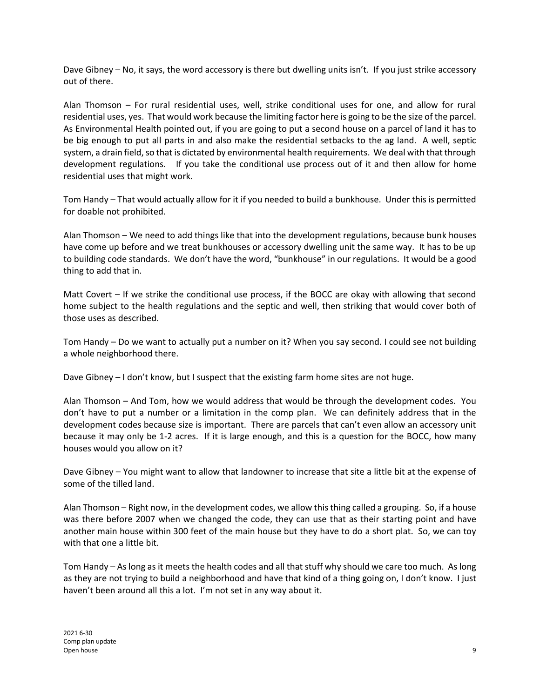Dave Gibney – No, it says, the word accessory is there but dwelling units isn't. If you just strike accessory out of there.

Alan Thomson – For rural residential uses, well, strike conditional uses for one, and allow for rural residential uses, yes. That would work because the limiting factor here is going to be the size of the parcel. As Environmental Health pointed out, if you are going to put a second house on a parcel of land it has to be big enough to put all parts in and also make the residential setbacks to the ag land. A well, septic system, a drain field, so that is dictated by environmental health requirements. We deal with that through development regulations. If you take the conditional use process out of it and then allow for home residential uses that might work.

Tom Handy – That would actually allow for it if you needed to build a bunkhouse. Under this is permitted for doable not prohibited.

Alan Thomson – We need to add things like that into the development regulations, because bunk houses have come up before and we treat bunkhouses or accessory dwelling unit the same way. It has to be up to building code standards. We don't have the word, "bunkhouse" in our regulations. It would be a good thing to add that in.

Matt Covert – If we strike the conditional use process, if the BOCC are okay with allowing that second home subject to the health regulations and the septic and well, then striking that would cover both of those uses as described.

Tom Handy – Do we want to actually put a number on it? When you say second. I could see not building a whole neighborhood there.

Dave Gibney – I don't know, but I suspect that the existing farm home sites are not huge.

Alan Thomson – And Tom, how we would address that would be through the development codes. You don't have to put a number or a limitation in the comp plan. We can definitely address that in the development codes because size is important. There are parcels that can't even allow an accessory unit because it may only be 1-2 acres. If it is large enough, and this is a question for the BOCC, how many houses would you allow on it?

Dave Gibney – You might want to allow that landowner to increase that site a little bit at the expense of some of the tilled land.

Alan Thomson – Right now, in the development codes, we allow this thing called a grouping. So, if a house was there before 2007 when we changed the code, they can use that as their starting point and have another main house within 300 feet of the main house but they have to do a short plat. So, we can toy with that one a little bit.

Tom Handy – As long as it meets the health codes and all that stuff why should we care too much. As long as they are not trying to build a neighborhood and have that kind of a thing going on, I don't know. I just haven't been around all this a lot. I'm not set in any way about it.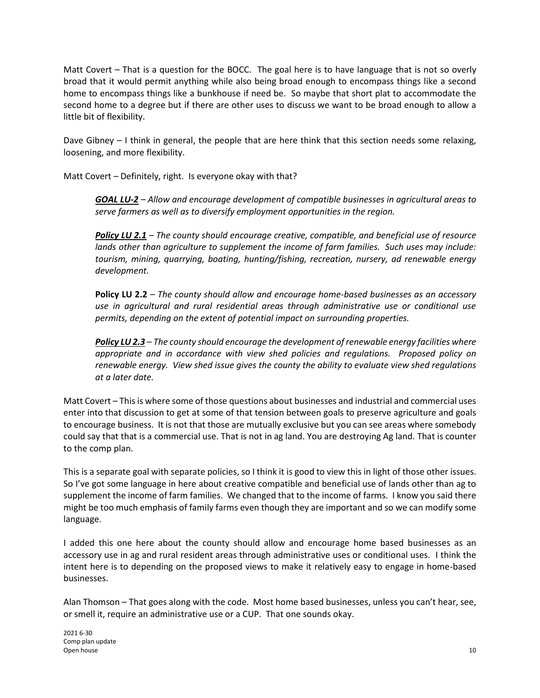Matt Covert – That is a question for the BOCC. The goal here is to have language that is not so overly broad that it would permit anything while also being broad enough to encompass things like a second home to encompass things like a bunkhouse if need be. So maybe that short plat to accommodate the second home to a degree but if there are other uses to discuss we want to be broad enough to allow a little bit of flexibility.

Dave Gibney – I think in general, the people that are here think that this section needs some relaxing, loosening, and more flexibility.

Matt Covert – Definitely, right. Is everyone okay with that?

*GOAL LU-2 – Allow and encourage development of compatible businesses in agricultural areas to serve farmers as well as to diversify employment opportunities in the region.*

*Policy LU 2.1 – The county should encourage creative, compatible, and beneficial use of resource lands other than agriculture to supplement the income of farm families. Such uses may include: tourism, mining, quarrying, boating, hunting/fishing, recreation, nursery, ad renewable energy development.*

**Policy LU 2.2** *– The county should allow and encourage home-based businesses as an accessory use in agricultural and rural residential areas through administrative use or conditional use permits, depending on the extent of potential impact on surrounding properties.*

*Policy LU 2.3 – The county should encourage the development of renewable energy facilities where appropriate and in accordance with view shed policies and regulations. Proposed policy on renewable energy. View shed issue gives the county the ability to evaluate view shed regulations at a later date.* 

Matt Covert – This is where some of those questions about businesses and industrial and commercial uses enter into that discussion to get at some of that tension between goals to preserve agriculture and goals to encourage business. It is not that those are mutually exclusive but you can see areas where somebody could say that that is a commercial use. That is not in ag land. You are destroying Ag land. That is counter to the comp plan.

This is a separate goal with separate policies, so I think it is good to view this in light of those other issues. So I've got some language in here about creative compatible and beneficial use of lands other than ag to supplement the income of farm families. We changed that to the income of farms. I know you said there might be too much emphasis of family farms even though they are important and so we can modify some language.

I added this one here about the county should allow and encourage home based businesses as an accessory use in ag and rural resident areas through administrative uses or conditional uses. I think the intent here is to depending on the proposed views to make it relatively easy to engage in home-based businesses.

Alan Thomson – That goes along with the code. Most home based businesses, unless you can't hear, see, or smell it, require an administrative use or a CUP. That one sounds okay.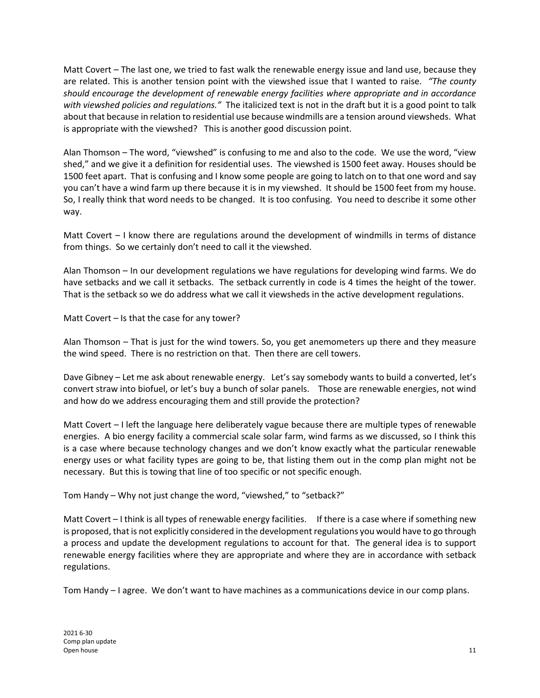Matt Covert – The last one, we tried to fast walk the renewable energy issue and land use, because they are related. This is another tension point with the viewshed issue that I wanted to raise. *"The county should encourage the development of renewable energy facilities where appropriate and in accordance with viewshed policies and regulations."* The italicized text is not in the draft but it is a good point to talk about that because in relation to residential use because windmills are a tension around viewsheds. What is appropriate with the viewshed? This is another good discussion point.

Alan Thomson – The word, "viewshed" is confusing to me and also to the code. We use the word, "view shed," and we give it a definition for residential uses. The viewshed is 1500 feet away. Houses should be 1500 feet apart. That is confusing and I know some people are going to latch on to that one word and say you can't have a wind farm up there because it is in my viewshed. It should be 1500 feet from my house. So, I really think that word needs to be changed. It is too confusing. You need to describe it some other way.

Matt Covert – I know there are regulations around the development of windmills in terms of distance from things. So we certainly don't need to call it the viewshed.

Alan Thomson – In our development regulations we have regulations for developing wind farms. We do have setbacks and we call it setbacks. The setback currently in code is 4 times the height of the tower. That is the setback so we do address what we call it viewsheds in the active development regulations.

Matt Covert – Is that the case for any tower?

Alan Thomson – That is just for the wind towers. So, you get anemometers up there and they measure the wind speed. There is no restriction on that. Then there are cell towers.

Dave Gibney – Let me ask about renewable energy. Let's say somebody wants to build a converted, let's convert straw into biofuel, or let's buy a bunch of solar panels. Those are renewable energies, not wind and how do we address encouraging them and still provide the protection?

Matt Covert – I left the language here deliberately vague because there are multiple types of renewable energies. A bio energy facility a commercial scale solar farm, wind farms as we discussed, so I think this is a case where because technology changes and we don't know exactly what the particular renewable energy uses or what facility types are going to be, that listing them out in the comp plan might not be necessary. But this is towing that line of too specific or not specific enough.

Tom Handy – Why not just change the word, "viewshed," to "setback?"

Matt Covert – I think is all types of renewable energy facilities. If there is a case where if something new is proposed, that is not explicitly considered in the development regulations you would have to go through a process and update the development regulations to account for that. The general idea is to support renewable energy facilities where they are appropriate and where they are in accordance with setback regulations.

Tom Handy – I agree. We don't want to have machines as a communications device in our comp plans.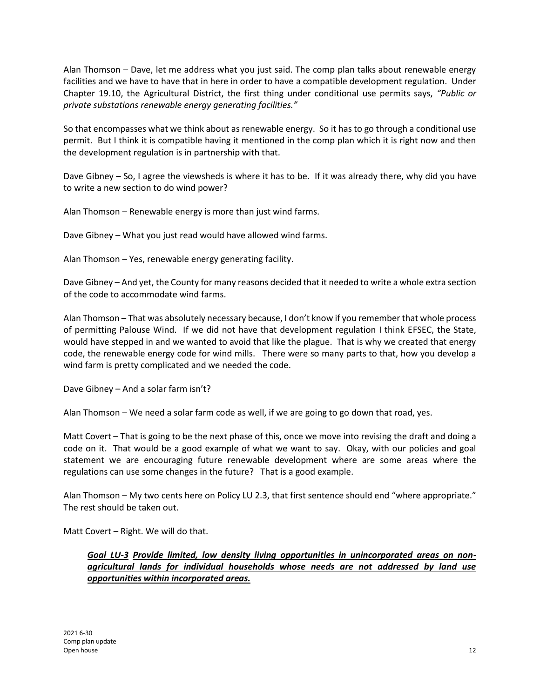Alan Thomson – Dave, let me address what you just said. The comp plan talks about renewable energy facilities and we have to have that in here in order to have a compatible development regulation. Under Chapter 19.10, the Agricultural District, the first thing under conditional use permits says, *"Public or private substations renewable energy generating facilities."*

So that encompasses what we think about as renewable energy. So it has to go through a conditional use permit. But I think it is compatible having it mentioned in the comp plan which it is right now and then the development regulation is in partnership with that.

Dave Gibney – So, I agree the viewsheds is where it has to be. If it was already there, why did you have to write a new section to do wind power?

Alan Thomson – Renewable energy is more than just wind farms.

Dave Gibney – What you just read would have allowed wind farms.

Alan Thomson – Yes, renewable energy generating facility.

Dave Gibney – And yet, the County for many reasons decided that it needed to write a whole extra section of the code to accommodate wind farms.

Alan Thomson – That was absolutely necessary because, I don't know if you remember that whole process of permitting Palouse Wind. If we did not have that development regulation I think EFSEC, the State, would have stepped in and we wanted to avoid that like the plague. That is why we created that energy code, the renewable energy code for wind mills. There were so many parts to that, how you develop a wind farm is pretty complicated and we needed the code.

Dave Gibney – And a solar farm isn't?

Alan Thomson – We need a solar farm code as well, if we are going to go down that road, yes.

Matt Covert – That is going to be the next phase of this, once we move into revising the draft and doing a code on it. That would be a good example of what we want to say. Okay, with our policies and goal statement we are encouraging future renewable development where are some areas where the regulations can use some changes in the future? That is a good example.

Alan Thomson – My two cents here on Policy LU 2.3, that first sentence should end "where appropriate." The rest should be taken out.

Matt Covert – Right. We will do that.

*Goal LU-3 Provide limited, low density living opportunities in unincorporated areas on nonagricultural lands for individual households whose needs are not addressed by land use opportunities within incorporated areas.*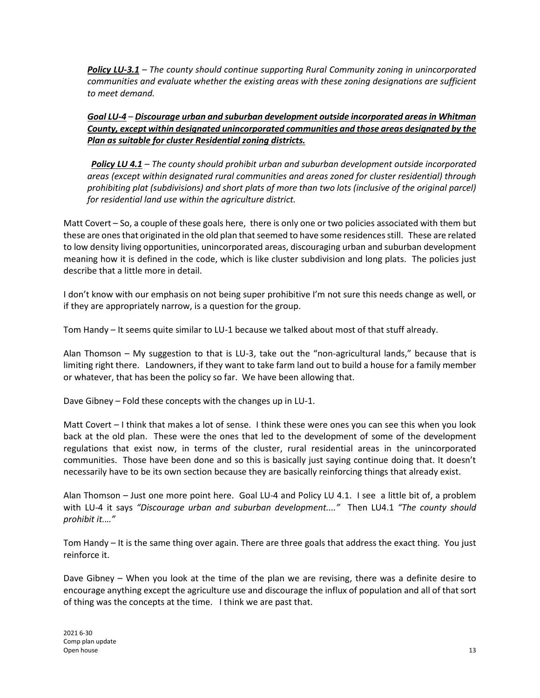*Policy LU-3.1 – The county should continue supporting Rural Community zoning in unincorporated communities and evaluate whether the existing areas with these zoning designations are sufficient to meet demand.*

## *Goal LU-4 – Discourage urban and suburban development outside incorporated areas in Whitman County, except within designated unincorporated communities and those areas designated by the Plan as suitable for cluster Residential zoning districts.*

*Policy LU 4.1 – The county should prohibit urban and suburban development outside incorporated areas (except within designated rural communities and areas zoned for cluster residential) through prohibiting plat (subdivisions) and short plats of more than two lots (inclusive of the original parcel) for residential land use within the agriculture district.* 

Matt Covert – So, a couple of these goals here, there is only one or two policies associated with them but these are ones that originated in the old plan that seemed to have some residences still. These are related to low density living opportunities, unincorporated areas, discouraging urban and suburban development meaning how it is defined in the code, which is like cluster subdivision and long plats. The policies just describe that a little more in detail.

I don't know with our emphasis on not being super prohibitive I'm not sure this needs change as well, or if they are appropriately narrow, is a question for the group.

Tom Handy – It seems quite similar to LU-1 because we talked about most of that stuff already.

Alan Thomson – My suggestion to that is LU-3, take out the "non-agricultural lands," because that is limiting right there. Landowners, if they want to take farm land out to build a house for a family member or whatever, that has been the policy so far. We have been allowing that.

Dave Gibney – Fold these concepts with the changes up in LU-1.

Matt Covert – I think that makes a lot of sense. I think these were ones you can see this when you look back at the old plan. These were the ones that led to the development of some of the development regulations that exist now, in terms of the cluster, rural residential areas in the unincorporated communities. Those have been done and so this is basically just saying continue doing that. It doesn't necessarily have to be its own section because they are basically reinforcing things that already exist.

Alan Thomson – Just one more point here. Goal LU-4 and Policy LU 4.1. I see a little bit of, a problem with LU-4 it says *"Discourage urban and suburban development...."* Then LU4.1 *"The county should prohibit it.…"* 

Tom Handy – It is the same thing over again. There are three goals that address the exact thing. You just reinforce it.

Dave Gibney – When you look at the time of the plan we are revising, there was a definite desire to encourage anything except the agriculture use and discourage the influx of population and all of that sort of thing was the concepts at the time. I think we are past that.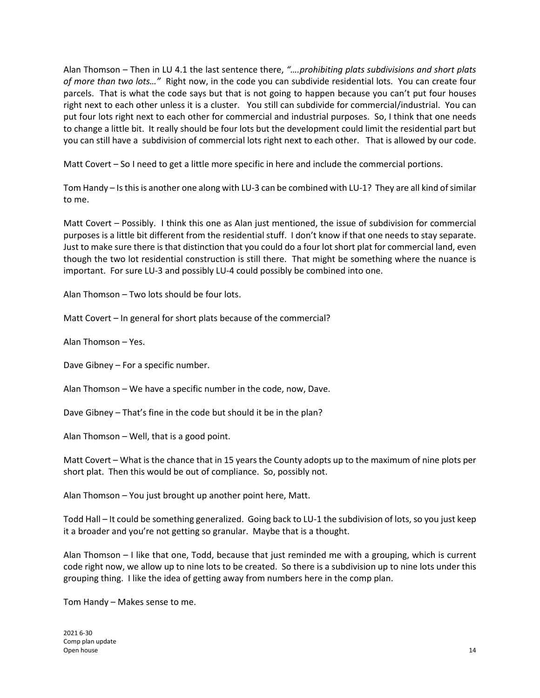Alan Thomson – Then in LU 4.1 the last sentence there, *"….prohibiting plats subdivisions and short plats of more than two lots…"* Right now, in the code you can subdivide residential lots. You can create four parcels. That is what the code says but that is not going to happen because you can't put four houses right next to each other unless it is a cluster. You still can subdivide for commercial/industrial. You can put four lots right next to each other for commercial and industrial purposes. So, I think that one needs to change a little bit. It really should be four lots but the development could limit the residential part but you can still have a subdivision of commercial lots right next to each other. That is allowed by our code.

Matt Covert – So I need to get a little more specific in here and include the commercial portions.

Tom Handy – Is this is another one along with LU-3 can be combined with LU-1? They are all kind of similar to me.

Matt Covert – Possibly. I think this one as Alan just mentioned, the issue of subdivision for commercial purposes is a little bit different from the residential stuff. I don't know if that one needs to stay separate. Just to make sure there is that distinction that you could do a four lot short plat for commercial land, even though the two lot residential construction is still there. That might be something where the nuance is important. For sure LU-3 and possibly LU-4 could possibly be combined into one.

Alan Thomson – Two lots should be four lots.

Matt Covert – In general for short plats because of the commercial?

Alan Thomson – Yes.

Dave Gibney – For a specific number.

Alan Thomson – We have a specific number in the code, now, Dave.

Dave Gibney – That's fine in the code but should it be in the plan?

Alan Thomson – Well, that is a good point.

Matt Covert – What is the chance that in 15 years the County adopts up to the maximum of nine plots per short plat. Then this would be out of compliance. So, possibly not.

Alan Thomson – You just brought up another point here, Matt.

Todd Hall – It could be something generalized. Going back to LU-1 the subdivision of lots, so you just keep it a broader and you're not getting so granular. Maybe that is a thought.

Alan Thomson – I like that one, Todd, because that just reminded me with a grouping, which is current code right now, we allow up to nine lots to be created. So there is a subdivision up to nine lots under this grouping thing. I like the idea of getting away from numbers here in the comp plan.

Tom Handy – Makes sense to me.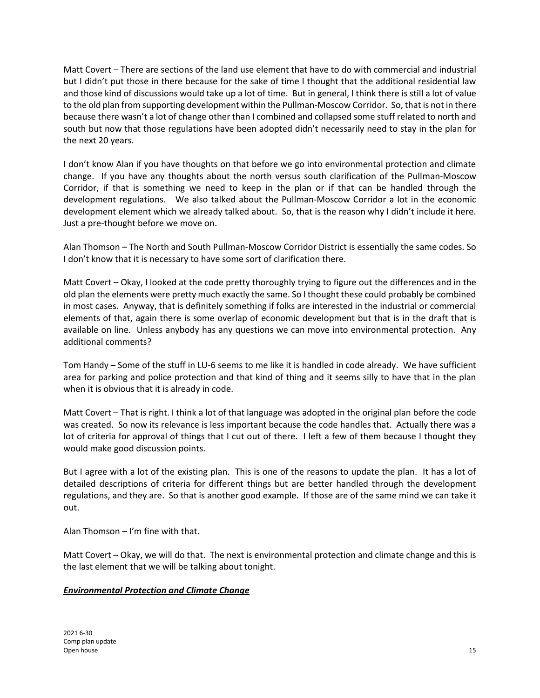Matt Covert – There are sections of the land use element that have to do with commercial and industrial but I didn't put those in there because for the sake of time I thought that the additional residential law and those kind of discussions would take up a lot of time. But in general, I think there is still a lot of value to the old plan from supporting development within the Pullman-Moscow Corridor. So, that is not in there because there wasn't a lot of change other than I combined and collapsed some stuff related to north and south but now that those regulations have been adopted didn't necessarily need to stay in the plan for the next 20 years.

I don't know Alan if you have thoughts on that before we go into environmental protection and climate change. If you have any thoughts about the north versus south clarification of the Pullman-Moscow Corridor, if that is something we need to keep in the plan or if that can be handled through the development regulations. We also talked about the Pullman-Moscow Corridor a lot in the economic development element which we already talked about. So, that is the reason why I didn't include it here. Just a pre-thought before we move on.

Alan Thomson – The North and South Pullman-Moscow Corridor District is essentially the same codes. So I don't know that it is necessary to have some sort of clarification there.

Matt Covert – Okay, I looked at the code pretty thoroughly trying to figure out the differences and in the old plan the elements were pretty much exactly the same. So I thought these could probably be combined in most cases. Anyway, that is definitely something if folks are interested in the industrial or commercial elements of that, again there is some overlap of economic development but that is in the draft that is available on line. Unless anybody has any questions we can move into environmental protection. Any additional comments?

Tom Handy – Some of the stuff in LU-6 seems to me like it is handled in code already. We have sufficient area for parking and police protection and that kind of thing and it seems silly to have that in the plan when it is obvious that it is already in code.

Matt Covert – That is right. I think a lot of that language was adopted in the original plan before the code was created. So now its relevance is less important because the code handles that. Actually there was a lot of criteria for approval of things that I cut out of there. I left a few of them because I thought they would make good discussion points.

But I agree with a lot of the existing plan. This is one of the reasons to update the plan. It has a lot of detailed descriptions of criteria for different things but are better handled through the development regulations, and they are. So that is another good example. If those are of the same mind we can take it out.

Alan Thomson – I'm fine with that.

Matt Covert – Okay, we will do that. The next is environmental protection and climate change and this is the last element that we will be talking about tonight.

## *Environmental Protection and Climate Change*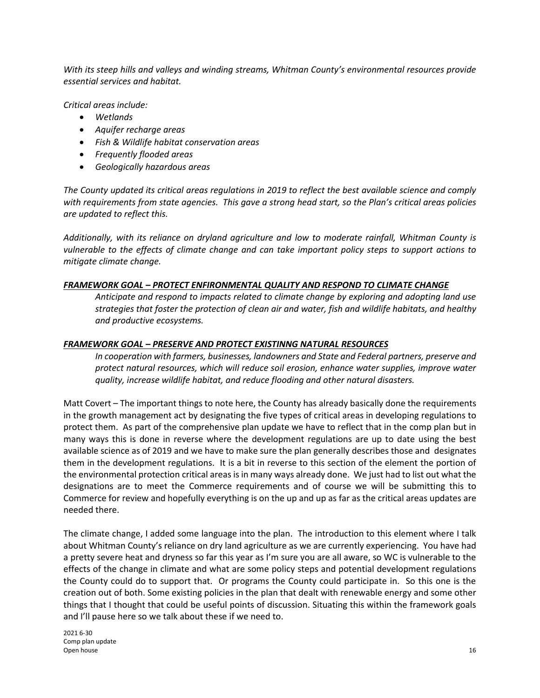*With its steep hills and valleys and winding streams, Whitman County's environmental resources provide essential services and habitat.*

*Critical areas include:*

- *Wetlands*
- *Aquifer recharge areas*
- *Fish & Wildlife habitat conservation areas*
- *Frequently flooded areas*
- *Geologically hazardous areas*

*The County updated its critical areas regulations in 2019 to reflect the best available science and comply with requirements from state agencies. This gave a strong head start, so the Plan's critical areas policies are updated to reflect this.*

*Additionally, with its reliance on dryland agriculture and low to moderate rainfall, Whitman County is vulnerable to the effects of climate change and can take important policy steps to support actions to mitigate climate change.*

#### *FRAMEWORK GOAL – PROTECT ENFIRONMENTAL QUALITY AND RESPOND TO CLIMATE CHANGE*

*Anticipate and respond to impacts related to climate change by exploring and adopting land use strategies that foster the protection of clean air and water, fish and wildlife habitats, and healthy and productive ecosystems.*

#### *FRAMEWORK GOAL – PRESERVE AND PROTECT EXISTINNG NATURAL RESOURCES*

*In cooperation with farmers, businesses, landowners and State and Federal partners, preserve and protect natural resources, which will reduce soil erosion, enhance water supplies, improve water quality, increase wildlife habitat, and reduce flooding and other natural disasters.*

Matt Covert – The important things to note here, the County has already basically done the requirements in the growth management act by designating the five types of critical areas in developing regulations to protect them. As part of the comprehensive plan update we have to reflect that in the comp plan but in many ways this is done in reverse where the development regulations are up to date using the best available science as of 2019 and we have to make sure the plan generally describes those and designates them in the development regulations. It is a bit in reverse to this section of the element the portion of the environmental protection critical areas is in many ways already done. We just had to list out what the designations are to meet the Commerce requirements and of course we will be submitting this to Commerce for review and hopefully everything is on the up and up as far as the critical areas updates are needed there.

The climate change, I added some language into the plan. The introduction to this element where I talk about Whitman County's reliance on dry land agriculture as we are currently experiencing. You have had a pretty severe heat and dryness so far this year as I'm sure you are all aware, so WC is vulnerable to the effects of the change in climate and what are some policy steps and potential development regulations the County could do to support that. Or programs the County could participate in. So this one is the creation out of both. Some existing policies in the plan that dealt with renewable energy and some other things that I thought that could be useful points of discussion. Situating this within the framework goals and I'll pause here so we talk about these if we need to.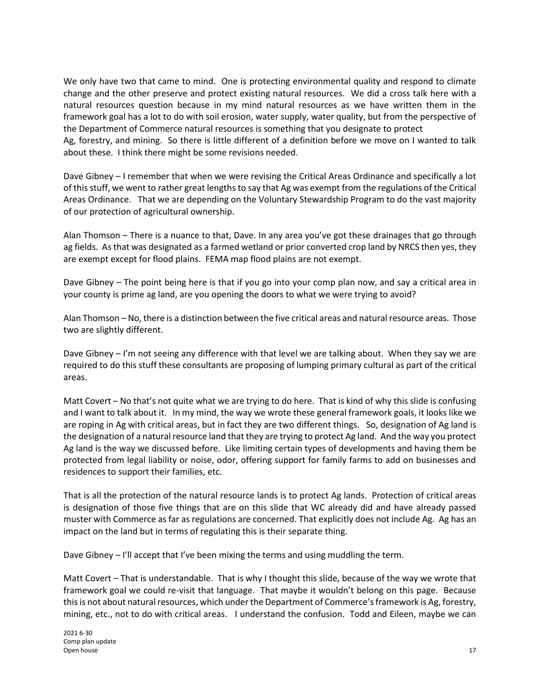We only have two that came to mind. One is protecting environmental quality and respond to climate change and the other preserve and protect existing natural resources. We did a cross talk here with a natural resources question because in my mind natural resources as we have written them in the framework goal has a lot to do with soil erosion, water supply, water quality, but from the perspective of the Department of Commerce natural resources is something that you designate to protect

Ag, forestry, and mining. So there is little different of a definition before we move on I wanted to talk about these. I think there might be some revisions needed.

Dave Gibney – I remember that when we were revising the Critical Areas Ordinance and specifically a lot of this stuff, we went to rather great lengths to say that Ag was exempt from the regulations of the Critical Areas Ordinance. That we are depending on the Voluntary Stewardship Program to do the vast majority of our protection of agricultural ownership.

Alan Thomson – There is a nuance to that, Dave. In any area you've got these drainages that go through ag fields. As that was designated as a farmed wetland or prior converted crop land by NRCS then yes, they are exempt except for flood plains. FEMA map flood plains are not exempt.

Dave Gibney – The point being here is that if you go into your comp plan now, and say a critical area in your county is prime ag land, are you opening the doors to what we were trying to avoid?

Alan Thomson – No, there is a distinction between the five critical areas and natural resource areas. Those two are slightly different.

Dave Gibney – I'm not seeing any difference with that level we are talking about. When they say we are required to do this stuff these consultants are proposing of lumping primary cultural as part of the critical areas.

Matt Covert – No that's not quite what we are trying to do here. That is kind of why this slide is confusing and I want to talk about it. In my mind, the way we wrote these general framework goals, it looks like we are roping in Ag with critical areas, but in fact they are two different things. So, designation of Ag land is the designation of a natural resource land that they are trying to protect Ag land. And the way you protect Ag land is the way we discussed before. Like limiting certain types of developments and having them be protected from legal liability or noise, odor, offering support for family farms to add on businesses and residences to support their families, etc.

That is all the protection of the natural resource lands is to protect Ag lands. Protection of critical areas is designation of those five things that are on this slide that WC already did and have already passed muster with Commerce as far as regulations are concerned. That explicitly does not include Ag. Ag has an impact on the land but in terms of regulating this is their separate thing.

Dave Gibney – I'll accept that I've been mixing the terms and using muddling the term.

Matt Covert – That is understandable. That is why I thought this slide, because of the way we wrote that framework goal we could re-visit that language. That maybe it wouldn't belong on this page. Because this is not about natural resources, which under the Department of Commerce's framework is Ag, forestry, mining, etc., not to do with critical areas. I understand the confusion. Todd and Eileen, maybe we can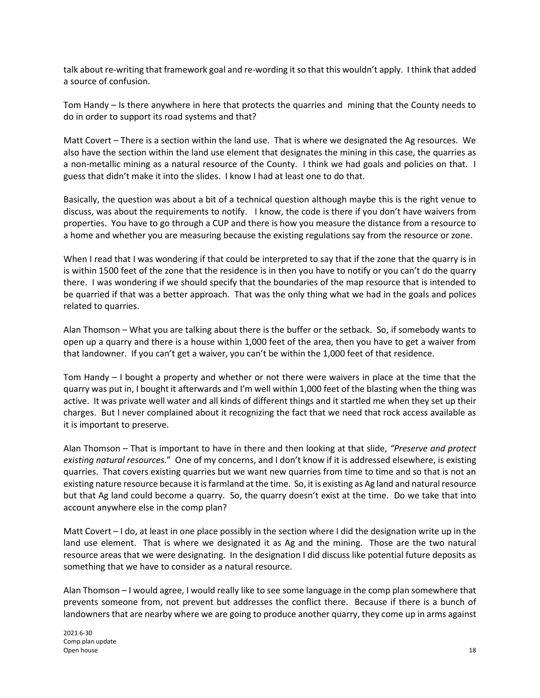talk about re-writing that framework goal and re-wording it so that this wouldn't apply. I think that added a source of confusion.

Tom Handy – Is there anywhere in here that protects the quarries and mining that the County needs to do in order to support its road systems and that?

Matt Covert – There is a section within the land use. That is where we designated the Ag resources. We also have the section within the land use element that designates the mining in this case, the quarries as a non-metallic mining as a natural resource of the County. I think we had goals and policies on that. I guess that didn't make it into the slides. I know I had at least one to do that.

Basically, the question was about a bit of a technical question although maybe this is the right venue to discuss, was about the requirements to notify. I know, the code is there if you don't have waivers from properties. You have to go through a CUP and there is how you measure the distance from a resource to a home and whether you are measuring because the existing regulations say from the resource or zone.

When I read that I was wondering if that could be interpreted to say that if the zone that the quarry is in is within 1500 feet of the zone that the residence is in then you have to notify or you can't do the quarry there. I was wondering if we should specify that the boundaries of the map resource that is intended to be quarried if that was a better approach. That was the only thing what we had in the goals and polices related to quarries.

Alan Thomson – What you are talking about there is the buffer or the setback. So, if somebody wants to open up a quarry and there is a house within 1,000 feet of the area, then you have to get a waiver from that landowner. If you can't get a waiver, you can't be within the 1,000 feet of that residence.

Tom Handy – I bought a property and whether or not there were waivers in place at the time that the quarry was put in, I bought it afterwards and I'm well within 1,000 feet of the blasting when the thing was active. It was private well water and all kinds of different things and it startled me when they set up their charges. But I never complained about it recognizing the fact that we need that rock access available as it is important to preserve.

Alan Thomson – That is important to have in there and then looking at that slide, *"Preserve and protect existing natural resources.*" One of my concerns, and I don't know if it is addressed elsewhere, is existing quarries. That covers existing quarries but we want new quarries from time to time and so that is not an existing nature resource because it is farmland at the time. So, it is existing as Ag land and natural resource but that Ag land could become a quarry. So, the quarry doesn't exist at the time. Do we take that into account anywhere else in the comp plan?

Matt Covert – I do, at least in one place possibly in the section where I did the designation write up in the land use element. That is where we designated it as Ag and the mining. Those are the two natural resource areas that we were designating. In the designation I did discuss like potential future deposits as something that we have to consider as a natural resource.

Alan Thomson – I would agree, I would really like to see some language in the comp plan somewhere that prevents someone from, not prevent but addresses the conflict there. Because if there is a bunch of landowners that are nearby where we are going to produce another quarry, they come up in arms against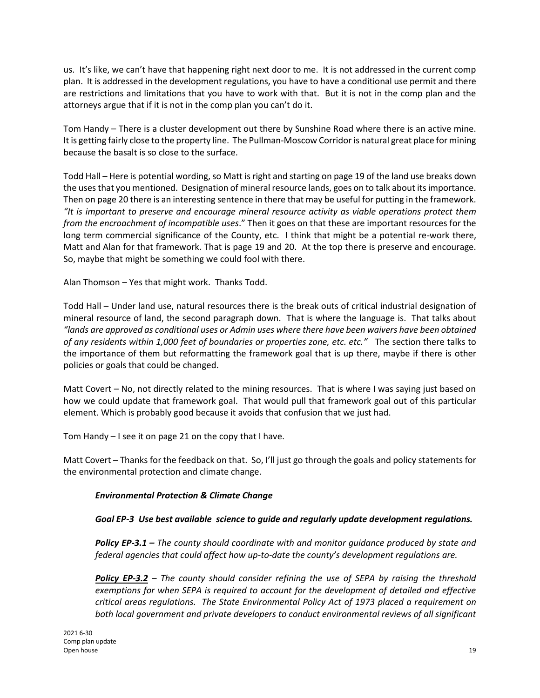us. It's like, we can't have that happening right next door to me. It is not addressed in the current comp plan. It is addressed in the development regulations, you have to have a conditional use permit and there are restrictions and limitations that you have to work with that. But it is not in the comp plan and the attorneys argue that if it is not in the comp plan you can't do it.

Tom Handy – There is a cluster development out there by Sunshine Road where there is an active mine. It is getting fairly close to the property line. The Pullman-Moscow Corridor is natural great place for mining because the basalt is so close to the surface.

Todd Hall – Here is potential wording, so Matt is right and starting on page 19 of the land use breaks down the uses that you mentioned. Designation of mineral resource lands, goes on to talk about its importance. Then on page 20 there is an interesting sentence in there that may be useful for putting in the framework. *"It is important to preserve and encourage mineral resource activity as viable operations protect them from the encroachment of incompatible uses*." Then it goes on that these are important resources for the long term commercial significance of the County, etc. I think that might be a potential re-work there, Matt and Alan for that framework. That is page 19 and 20. At the top there is preserve and encourage. So, maybe that might be something we could fool with there.

Alan Thomson – Yes that might work. Thanks Todd.

Todd Hall – Under land use, natural resources there is the break outs of critical industrial designation of mineral resource of land, the second paragraph down. That is where the language is. That talks about *"lands are approved as conditional uses or Admin uses where there have been waivers have been obtained of any residents within 1,000 feet of boundaries or properties zone, etc. etc."* The section there talks to the importance of them but reformatting the framework goal that is up there, maybe if there is other policies or goals that could be changed.

Matt Covert – No, not directly related to the mining resources. That is where I was saying just based on how we could update that framework goal. That would pull that framework goal out of this particular element. Which is probably good because it avoids that confusion that we just had.

Tom Handy – I see it on page 21 on the copy that I have.

Matt Covert – Thanks for the feedback on that. So, I'll just go through the goals and policy statements for the environmental protection and climate change.

## *Environmental Protection & Climate Change*

## *Goal EP-3 Use best available science to guide and regularly update development regulations.*

*Policy EP-3.1 – The county should coordinate with and monitor guidance produced by state and federal agencies that could affect how up-to-date the county's development regulations are.*

*Policy EP-3.2 – The county should consider refining the use of SEPA by raising the threshold exemptions for when SEPA is required to account for the development of detailed and effective critical areas regulations. The State Environmental Policy Act of 1973 placed a requirement on both local government and private developers to conduct environmental reviews of all significant*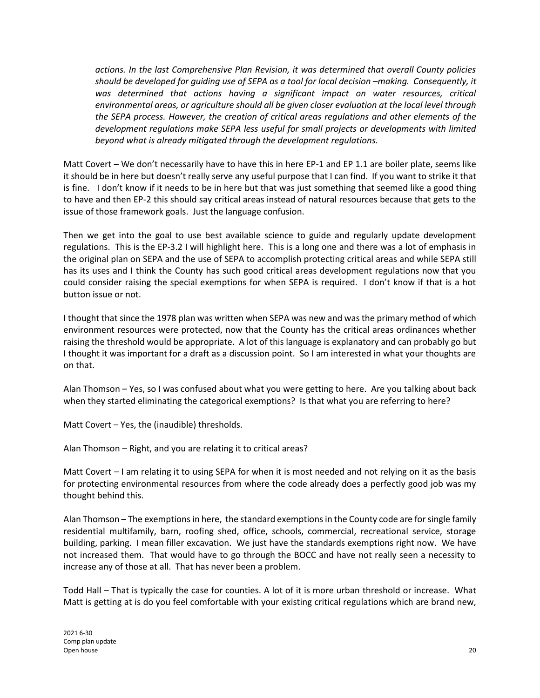*actions. In the last Comprehensive Plan Revision, it was determined that overall County policies should be developed for guiding use of SEPA as a tool for local decision –making. Consequently, it*  was determined that actions having a significant impact on water resources, critical *environmental areas, or agriculture should all be given closer evaluation at the local level through the SEPA process. However, the creation of critical areas regulations and other elements of the development regulations make SEPA less useful for small projects or developments with limited beyond what is already mitigated through the development regulations.*

Matt Covert – We don't necessarily have to have this in here EP-1 and EP 1.1 are boiler plate, seems like it should be in here but doesn't really serve any useful purpose that I can find. If you want to strike it that is fine. I don't know if it needs to be in here but that was just something that seemed like a good thing to have and then EP-2 this should say critical areas instead of natural resources because that gets to the issue of those framework goals. Just the language confusion.

Then we get into the goal to use best available science to guide and regularly update development regulations. This is the EP-3.2 I will highlight here. This is a long one and there was a lot of emphasis in the original plan on SEPA and the use of SEPA to accomplish protecting critical areas and while SEPA still has its uses and I think the County has such good critical areas development regulations now that you could consider raising the special exemptions for when SEPA is required. I don't know if that is a hot button issue or not.

I thought that since the 1978 plan was written when SEPA was new and was the primary method of which environment resources were protected, now that the County has the critical areas ordinances whether raising the threshold would be appropriate. A lot of this language is explanatory and can probably go but I thought it was important for a draft as a discussion point. So I am interested in what your thoughts are on that.

Alan Thomson – Yes, so I was confused about what you were getting to here. Are you talking about back when they started eliminating the categorical exemptions? Is that what you are referring to here?

Matt Covert – Yes, the (inaudible) thresholds.

Alan Thomson – Right, and you are relating it to critical areas?

Matt Covert – I am relating it to using SEPA for when it is most needed and not relying on it as the basis for protecting environmental resources from where the code already does a perfectly good job was my thought behind this.

Alan Thomson – The exemptions in here, the standard exemptions in the County code are for single family residential multifamily, barn, roofing shed, office, schools, commercial, recreational service, storage building, parking. I mean filler excavation. We just have the standards exemptions right now. We have not increased them. That would have to go through the BOCC and have not really seen a necessity to increase any of those at all. That has never been a problem.

Todd Hall – That is typically the case for counties. A lot of it is more urban threshold or increase. What Matt is getting at is do you feel comfortable with your existing critical regulations which are brand new,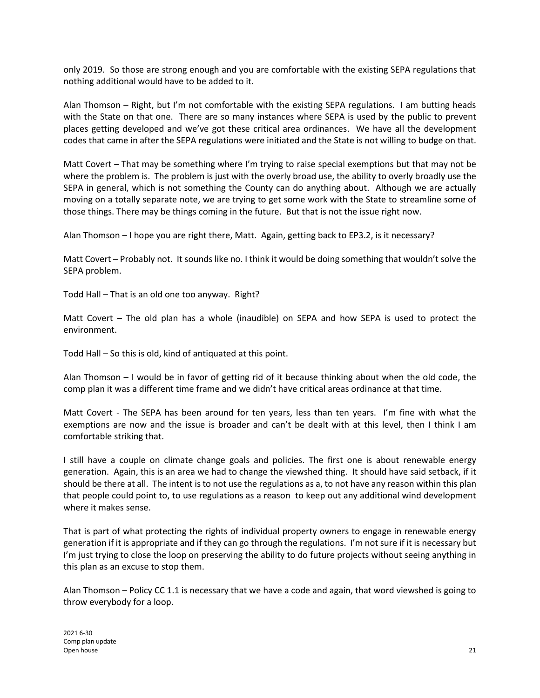only 2019. So those are strong enough and you are comfortable with the existing SEPA regulations that nothing additional would have to be added to it.

Alan Thomson – Right, but I'm not comfortable with the existing SEPA regulations. I am butting heads with the State on that one. There are so many instances where SEPA is used by the public to prevent places getting developed and we've got these critical area ordinances. We have all the development codes that came in after the SEPA regulations were initiated and the State is not willing to budge on that.

Matt Covert – That may be something where I'm trying to raise special exemptions but that may not be where the problem is. The problem is just with the overly broad use, the ability to overly broadly use the SEPA in general, which is not something the County can do anything about. Although we are actually moving on a totally separate note, we are trying to get some work with the State to streamline some of those things. There may be things coming in the future. But that is not the issue right now.

Alan Thomson – I hope you are right there, Matt. Again, getting back to EP3.2, is it necessary?

Matt Covert – Probably not. It sounds like no. I think it would be doing something that wouldn't solve the SEPA problem.

Todd Hall – That is an old one too anyway. Right?

Matt Covert – The old plan has a whole (inaudible) on SEPA and how SEPA is used to protect the environment.

Todd Hall – So this is old, kind of antiquated at this point.

Alan Thomson – I would be in favor of getting rid of it because thinking about when the old code, the comp plan it was a different time frame and we didn't have critical areas ordinance at that time.

Matt Covert - The SEPA has been around for ten years, less than ten years. I'm fine with what the exemptions are now and the issue is broader and can't be dealt with at this level, then I think I am comfortable striking that.

I still have a couple on climate change goals and policies. The first one is about renewable energy generation. Again, this is an area we had to change the viewshed thing. It should have said setback, if it should be there at all. The intent is to not use the regulations as a, to not have any reason within this plan that people could point to, to use regulations as a reason to keep out any additional wind development where it makes sense.

That is part of what protecting the rights of individual property owners to engage in renewable energy generation if it is appropriate and if they can go through the regulations. I'm not sure if it is necessary but I'm just trying to close the loop on preserving the ability to do future projects without seeing anything in this plan as an excuse to stop them.

Alan Thomson – Policy CC 1.1 is necessary that we have a code and again, that word viewshed is going to throw everybody for a loop.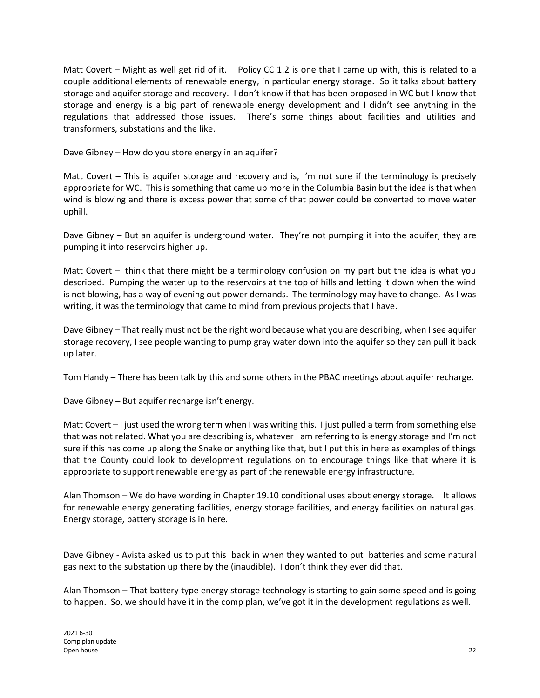Matt Covert – Might as well get rid of it. Policy CC 1.2 is one that I came up with, this is related to a couple additional elements of renewable energy, in particular energy storage. So it talks about battery storage and aquifer storage and recovery. I don't know if that has been proposed in WC but I know that storage and energy is a big part of renewable energy development and I didn't see anything in the regulations that addressed those issues. There's some things about facilities and utilities and transformers, substations and the like.

Dave Gibney – How do you store energy in an aquifer?

Matt Covert – This is aquifer storage and recovery and is, I'm not sure if the terminology is precisely appropriate for WC. This is something that came up more in the Columbia Basin but the idea is that when wind is blowing and there is excess power that some of that power could be converted to move water uphill.

Dave Gibney – But an aquifer is underground water. They're not pumping it into the aquifer, they are pumping it into reservoirs higher up.

Matt Covert –I think that there might be a terminology confusion on my part but the idea is what you described. Pumping the water up to the reservoirs at the top of hills and letting it down when the wind is not blowing, has a way of evening out power demands. The terminology may have to change. As I was writing, it was the terminology that came to mind from previous projects that I have.

Dave Gibney – That really must not be the right word because what you are describing, when I see aquifer storage recovery, I see people wanting to pump gray water down into the aquifer so they can pull it back up later.

Tom Handy – There has been talk by this and some others in the PBAC meetings about aquifer recharge.

Dave Gibney – But aquifer recharge isn't energy.

Matt Covert – I just used the wrong term when I was writing this. I just pulled a term from something else that was not related. What you are describing is, whatever I am referring to is energy storage and I'm not sure if this has come up along the Snake or anything like that, but I put this in here as examples of things that the County could look to development regulations on to encourage things like that where it is appropriate to support renewable energy as part of the renewable energy infrastructure.

Alan Thomson – We do have wording in Chapter 19.10 conditional uses about energy storage. It allows for renewable energy generating facilities, energy storage facilities, and energy facilities on natural gas. Energy storage, battery storage is in here.

Dave Gibney - Avista asked us to put this back in when they wanted to put batteries and some natural gas next to the substation up there by the (inaudible). I don't think they ever did that.

Alan Thomson – That battery type energy storage technology is starting to gain some speed and is going to happen. So, we should have it in the comp plan, we've got it in the development regulations as well.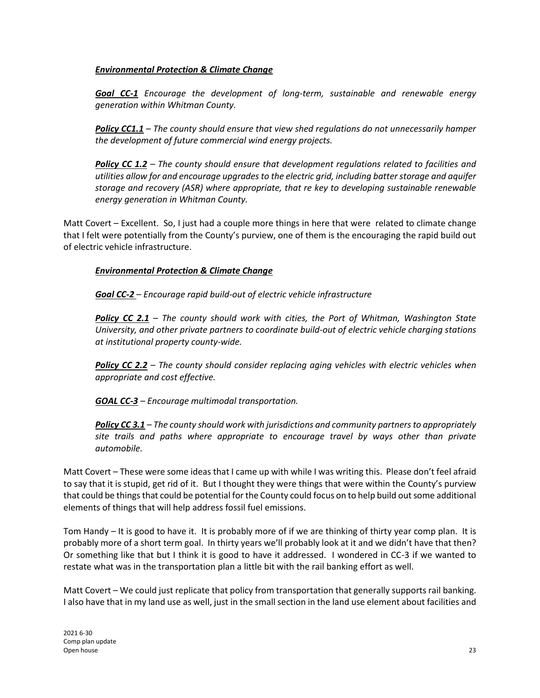#### *Environmental Protection & Climate Change*

*Goal CC-1 Encourage the development of long-term, sustainable and renewable energy generation within Whitman County.*

*Policy CC1.1 – The county should ensure that view shed regulations do not unnecessarily hamper the development of future commercial wind energy projects.*

*Policy CC 1.2 – The county should ensure that development regulations related to facilities and utilities allow for and encourage upgrades to the electric grid, including batter storage and aquifer storage and recovery (ASR) where appropriate, that re key to developing sustainable renewable energy generation in Whitman County.*

Matt Covert – Excellent. So, I just had a couple more things in here that were related to climate change that I felt were potentially from the County's purview, one of them is the encouraging the rapid build out of electric vehicle infrastructure.

### *Environmental Protection & Climate Change*

*Goal CC-2 – Encourage rapid build-out of electric vehicle infrastructure*

*Policy CC 2.1 – The county should work with cities, the Port of Whitman, Washington State University, and other private partners to coordinate build-out of electric vehicle charging stations at institutional property county-wide.*

*Policy CC 2.2 – The county should consider replacing aging vehicles with electric vehicles when appropriate and cost effective.*

*GOAL CC-3 – Encourage multimodal transportation.*

*Policy CC 3.1 – The county should work with jurisdictions and community partners to appropriately site trails and paths where appropriate to encourage travel by ways other than private automobile.*

Matt Covert – These were some ideas that I came up with while I was writing this. Please don't feel afraid to say that it is stupid, get rid of it. But I thought they were things that were within the County's purview that could be things that could be potential for the County could focus on to help build out some additional elements of things that will help address fossil fuel emissions.

Tom Handy – It is good to have it. It is probably more of if we are thinking of thirty year comp plan. It is probably more of a short term goal. In thirty years we'll probably look at it and we didn't have that then? Or something like that but I think it is good to have it addressed. I wondered in CC-3 if we wanted to restate what was in the transportation plan a little bit with the rail banking effort as well.

Matt Covert – We could just replicate that policy from transportation that generally supports rail banking. I also have that in my land use as well, just in the small section in the land use element about facilities and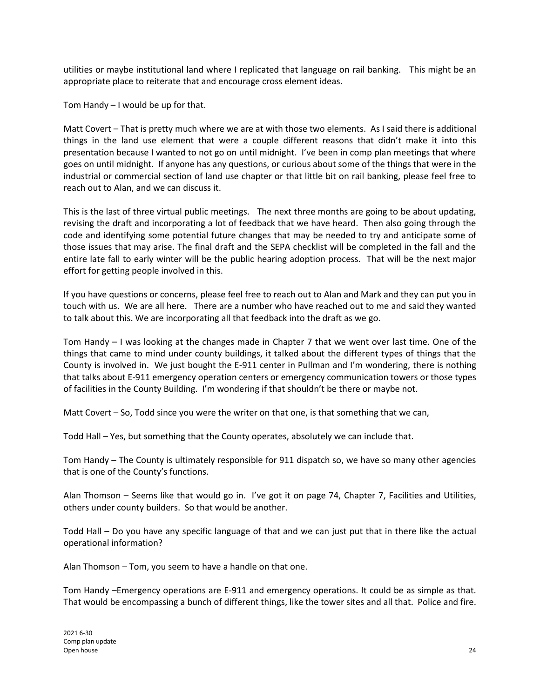utilities or maybe institutional land where I replicated that language on rail banking. This might be an appropriate place to reiterate that and encourage cross element ideas.

Tom Handy – I would be up for that.

Matt Covert – That is pretty much where we are at with those two elements. As I said there is additional things in the land use element that were a couple different reasons that didn't make it into this presentation because I wanted to not go on until midnight. I've been in comp plan meetings that where goes on until midnight. If anyone has any questions, or curious about some of the things that were in the industrial or commercial section of land use chapter or that little bit on rail banking, please feel free to reach out to Alan, and we can discuss it.

This is the last of three virtual public meetings. The next three months are going to be about updating, revising the draft and incorporating a lot of feedback that we have heard. Then also going through the code and identifying some potential future changes that may be needed to try and anticipate some of those issues that may arise. The final draft and the SEPA checklist will be completed in the fall and the entire late fall to early winter will be the public hearing adoption process. That will be the next major effort for getting people involved in this.

If you have questions or concerns, please feel free to reach out to Alan and Mark and they can put you in touch with us. We are all here. There are a number who have reached out to me and said they wanted to talk about this. We are incorporating all that feedback into the draft as we go.

Tom Handy – I was looking at the changes made in Chapter 7 that we went over last time. One of the things that came to mind under county buildings, it talked about the different types of things that the County is involved in. We just bought the E-911 center in Pullman and I'm wondering, there is nothing that talks about E-911 emergency operation centers or emergency communication towers or those types of facilities in the County Building. I'm wondering if that shouldn't be there or maybe not.

Matt Covert – So, Todd since you were the writer on that one, is that something that we can,

Todd Hall – Yes, but something that the County operates, absolutely we can include that.

Tom Handy – The County is ultimately responsible for 911 dispatch so, we have so many other agencies that is one of the County's functions.

Alan Thomson – Seems like that would go in. I've got it on page 74, Chapter 7, Facilities and Utilities, others under county builders. So that would be another.

Todd Hall – Do you have any specific language of that and we can just put that in there like the actual operational information?

Alan Thomson – Tom, you seem to have a handle on that one.

Tom Handy –Emergency operations are E-911 and emergency operations. It could be as simple as that. That would be encompassing a bunch of different things, like the tower sites and all that. Police and fire.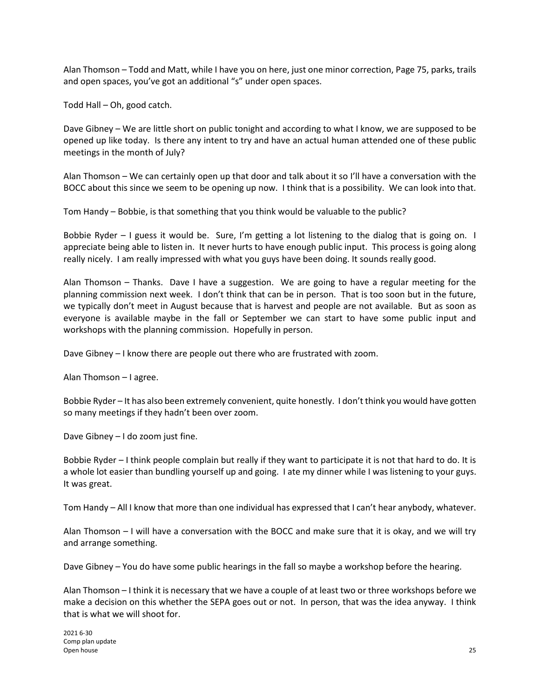Alan Thomson – Todd and Matt, while I have you on here, just one minor correction, Page 75, parks, trails and open spaces, you've got an additional "s" under open spaces.

Todd Hall – Oh, good catch.

Dave Gibney – We are little short on public tonight and according to what I know, we are supposed to be opened up like today. Is there any intent to try and have an actual human attended one of these public meetings in the month of July?

Alan Thomson – We can certainly open up that door and talk about it so I'll have a conversation with the BOCC about this since we seem to be opening up now. I think that is a possibility. We can look into that.

Tom Handy – Bobbie, is that something that you think would be valuable to the public?

Bobbie Ryder – I guess it would be. Sure, I'm getting a lot listening to the dialog that is going on. I appreciate being able to listen in. It never hurts to have enough public input. This process is going along really nicely. I am really impressed with what you guys have been doing. It sounds really good.

Alan Thomson – Thanks. Dave I have a suggestion. We are going to have a regular meeting for the planning commission next week. I don't think that can be in person. That is too soon but in the future, we typically don't meet in August because that is harvest and people are not available. But as soon as everyone is available maybe in the fall or September we can start to have some public input and workshops with the planning commission. Hopefully in person.

Dave Gibney – I know there are people out there who are frustrated with zoom.

Alan Thomson – I agree.

Bobbie Ryder – It has also been extremely convenient, quite honestly. I don't think you would have gotten so many meetings if they hadn't been over zoom.

Dave Gibney – I do zoom just fine.

Bobbie Ryder – I think people complain but really if they want to participate it is not that hard to do. It is a whole lot easier than bundling yourself up and going. I ate my dinner while I was listening to your guys. It was great.

Tom Handy – All I know that more than one individual has expressed that I can't hear anybody, whatever.

Alan Thomson – I will have a conversation with the BOCC and make sure that it is okay, and we will try and arrange something.

Dave Gibney – You do have some public hearings in the fall so maybe a workshop before the hearing.

Alan Thomson – I think it is necessary that we have a couple of at least two or three workshops before we make a decision on this whether the SEPA goes out or not. In person, that was the idea anyway. I think that is what we will shoot for.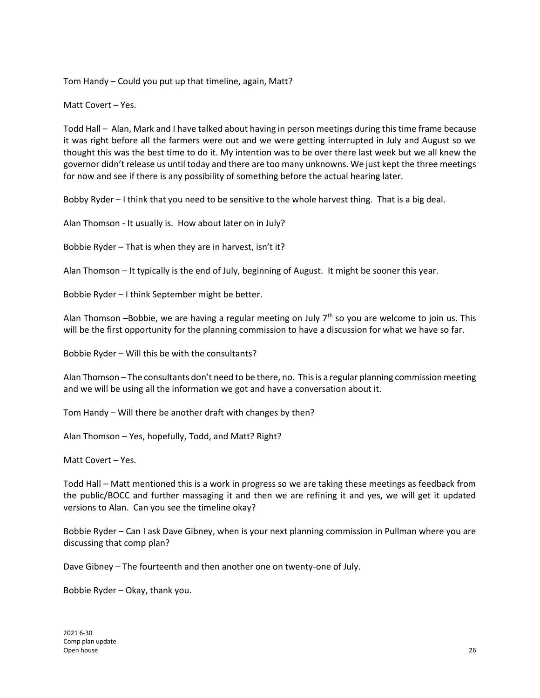Tom Handy – Could you put up that timeline, again, Matt?

Matt Covert – Yes.

Todd Hall – Alan, Mark and I have talked about having in person meetings during this time frame because it was right before all the farmers were out and we were getting interrupted in July and August so we thought this was the best time to do it. My intention was to be over there last week but we all knew the governor didn't release us until today and there are too many unknowns. We just kept the three meetings for now and see if there is any possibility of something before the actual hearing later.

Bobby Ryder – I think that you need to be sensitive to the whole harvest thing. That is a big deal.

Alan Thomson - It usually is. How about later on in July?

Bobbie Ryder – That is when they are in harvest, isn't it?

Alan Thomson – It typically is the end of July, beginning of August. It might be sooner this year.

Bobbie Ryder – I think September might be better.

Alan Thomson –Bobbie, we are having a regular meeting on July  $7<sup>th</sup>$  so you are welcome to join us. This will be the first opportunity for the planning commission to have a discussion for what we have so far.

Bobbie Ryder – Will this be with the consultants?

Alan Thomson – The consultants don't need to be there, no. This is a regular planning commission meeting and we will be using all the information we got and have a conversation about it.

Tom Handy – Will there be another draft with changes by then?

Alan Thomson – Yes, hopefully, Todd, and Matt? Right?

Matt Covert – Yes.

Todd Hall – Matt mentioned this is a work in progress so we are taking these meetings as feedback from the public/BOCC and further massaging it and then we are refining it and yes, we will get it updated versions to Alan. Can you see the timeline okay?

Bobbie Ryder – Can I ask Dave Gibney, when is your next planning commission in Pullman where you are discussing that comp plan?

Dave Gibney – The fourteenth and then another one on twenty-one of July.

Bobbie Ryder – Okay, thank you.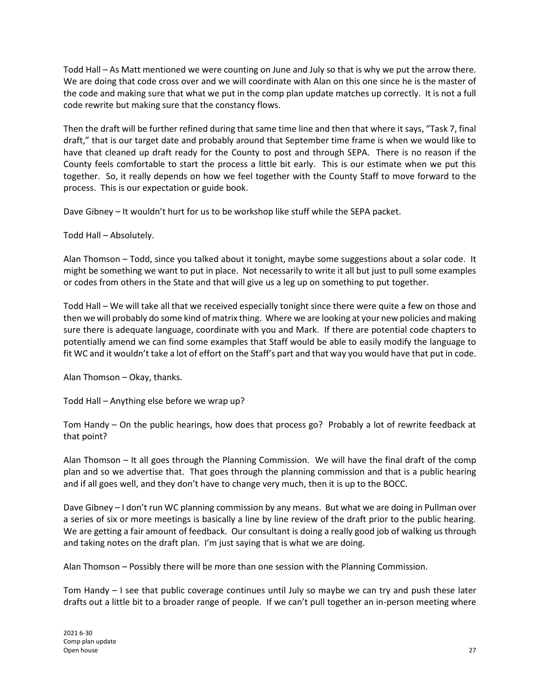Todd Hall – As Matt mentioned we were counting on June and July so that is why we put the arrow there. We are doing that code cross over and we will coordinate with Alan on this one since he is the master of the code and making sure that what we put in the comp plan update matches up correctly. It is not a full code rewrite but making sure that the constancy flows.

Then the draft will be further refined during that same time line and then that where it says, "Task 7, final draft," that is our target date and probably around that September time frame is when we would like to have that cleaned up draft ready for the County to post and through SEPA. There is no reason if the County feels comfortable to start the process a little bit early. This is our estimate when we put this together. So, it really depends on how we feel together with the County Staff to move forward to the process. This is our expectation or guide book.

Dave Gibney – It wouldn't hurt for us to be workshop like stuff while the SEPA packet.

Todd Hall – Absolutely.

Alan Thomson – Todd, since you talked about it tonight, maybe some suggestions about a solar code. It might be something we want to put in place. Not necessarily to write it all but just to pull some examples or codes from others in the State and that will give us a leg up on something to put together.

Todd Hall – We will take all that we received especially tonight since there were quite a few on those and then we will probably do some kind of matrix thing. Where we are looking at your new policies and making sure there is adequate language, coordinate with you and Mark. If there are potential code chapters to potentially amend we can find some examples that Staff would be able to easily modify the language to fit WC and it wouldn't take a lot of effort on the Staff's part and that way you would have that put in code.

Alan Thomson – Okay, thanks.

Todd Hall – Anything else before we wrap up?

Tom Handy – On the public hearings, how does that process go? Probably a lot of rewrite feedback at that point?

Alan Thomson – It all goes through the Planning Commission. We will have the final draft of the comp plan and so we advertise that. That goes through the planning commission and that is a public hearing and if all goes well, and they don't have to change very much, then it is up to the BOCC.

Dave Gibney – I don't run WC planning commission by any means. But what we are doing in Pullman over a series of six or more meetings is basically a line by line review of the draft prior to the public hearing. We are getting a fair amount of feedback. Our consultant is doing a really good job of walking us through and taking notes on the draft plan. I'm just saying that is what we are doing.

Alan Thomson – Possibly there will be more than one session with the Planning Commission.

Tom Handy – I see that public coverage continues until July so maybe we can try and push these later drafts out a little bit to a broader range of people. If we can't pull together an in-person meeting where